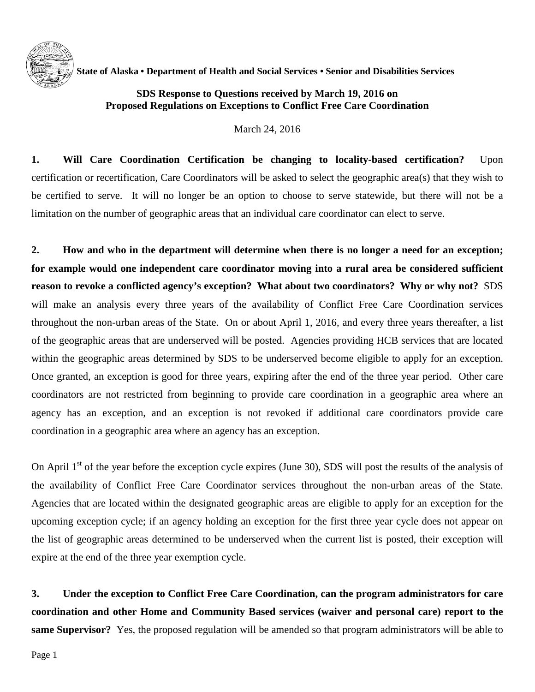

 **State of Alaska • Department of Health and Social Services • Senior and Disabilities Services**

## **SDS Response to Questions received by March 19, 2016 on Proposed Regulations on Exceptions to Conflict Free Care Coordination**

March 24, 2016

**1. Will Care Coordination Certification be changing to locality-based certification?** Upon certification or recertification, Care Coordinators will be asked to select the geographic area(s) that they wish to be certified to serve. It will no longer be an option to choose to serve statewide, but there will not be a limitation on the number of geographic areas that an individual care coordinator can elect to serve.

**2. How and who in the department will determine when there is no longer a need for an exception; for example would one independent care coordinator moving into a rural area be considered sufficient reason to revoke a conflicted agency's exception? What about two coordinators? Why or why not?** SDS will make an analysis every three years of the availability of Conflict Free Care Coordination services throughout the non-urban areas of the State. On or about April 1, 2016, and every three years thereafter, a list of the geographic areas that are underserved will be posted. Agencies providing HCB services that are located within the geographic areas determined by SDS to be underserved become eligible to apply for an exception. Once granted, an exception is good for three years, expiring after the end of the three year period. Other care coordinators are not restricted from beginning to provide care coordination in a geographic area where an agency has an exception, and an exception is not revoked if additional care coordinators provide care coordination in a geographic area where an agency has an exception.

On April  $1<sup>st</sup>$  of the year before the exception cycle expires (June 30), SDS will post the results of the analysis of the availability of Conflict Free Care Coordinator services throughout the non-urban areas of the State. Agencies that are located within the designated geographic areas are eligible to apply for an exception for the upcoming exception cycle; if an agency holding an exception for the first three year cycle does not appear on the list of geographic areas determined to be underserved when the current list is posted, their exception will expire at the end of the three year exemption cycle.

**3. Under the exception to Conflict Free Care Coordination, can the program administrators for care coordination and other Home and Community Based services (waiver and personal care) report to the same Supervisor?** Yes, the proposed regulation will be amended so that program administrators will be able to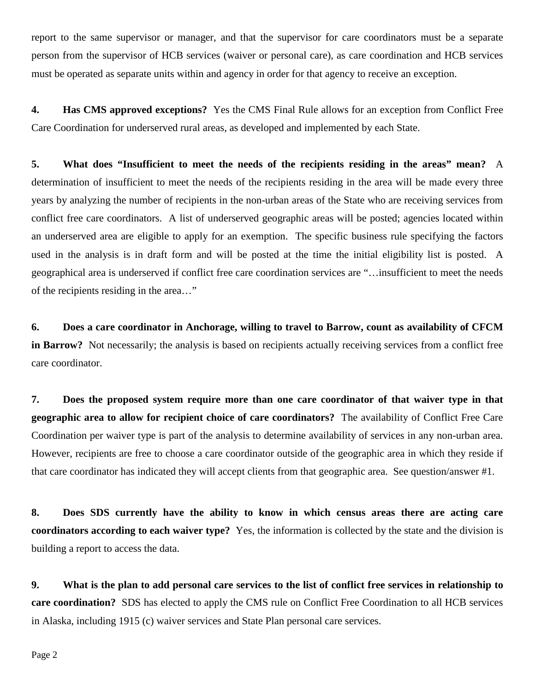report to the same supervisor or manager, and that the supervisor for care coordinators must be a separate person from the supervisor of HCB services (waiver or personal care), as care coordination and HCB services must be operated as separate units within and agency in order for that agency to receive an exception.

**4. Has CMS approved exceptions?** Yes the CMS Final Rule allows for an exception from Conflict Free Care Coordination for underserved rural areas, as developed and implemented by each State.

**5. What does "Insufficient to meet the needs of the recipients residing in the areas" mean?** A determination of insufficient to meet the needs of the recipients residing in the area will be made every three years by analyzing the number of recipients in the non-urban areas of the State who are receiving services from conflict free care coordinators. A list of underserved geographic areas will be posted; agencies located within an underserved area are eligible to apply for an exemption. The specific business rule specifying the factors used in the analysis is in draft form and will be posted at the time the initial eligibility list is posted. A geographical area is underserved if conflict free care coordination services are "…insufficient to meet the needs of the recipients residing in the area…"

**6. Does a care coordinator in Anchorage, willing to travel to Barrow, count as availability of CFCM in Barrow?** Not necessarily; the analysis is based on recipients actually receiving services from a conflict free care coordinator.

**7. Does the proposed system require more than one care coordinator of that waiver type in that geographic area to allow for recipient choice of care coordinators?** The availability of Conflict Free Care Coordination per waiver type is part of the analysis to determine availability of services in any non-urban area. However, recipients are free to choose a care coordinator outside of the geographic area in which they reside if that care coordinator has indicated they will accept clients from that geographic area. See question/answer #1.

**8. Does SDS currently have the ability to know in which census areas there are acting care coordinators according to each waiver type?** Yes, the information is collected by the state and the division is building a report to access the data.

**9. What is the plan to add personal care services to the list of conflict free services in relationship to care coordination?** SDS has elected to apply the CMS rule on Conflict Free Coordination to all HCB services in Alaska, including 1915 (c) waiver services and State Plan personal care services.